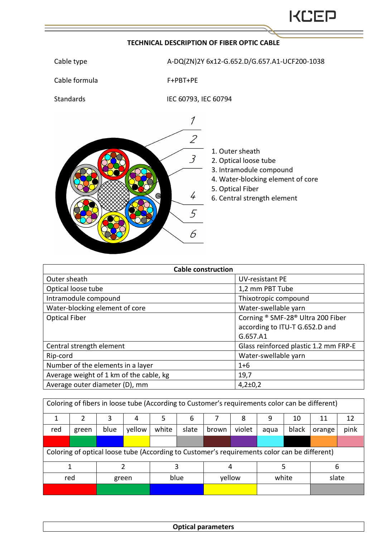## **TECHNICAL DESCRIPTION OF FIBER OPTIC CABLE**





| <b>Cable construction</b>               |                                       |  |  |  |  |
|-----------------------------------------|---------------------------------------|--|--|--|--|
| Outer sheath                            | <b>UV-resistant PE</b>                |  |  |  |  |
| Optical loose tube                      | 1,2 mm PBT Tube                       |  |  |  |  |
| Intramodule compound                    | Thixotropic compound                  |  |  |  |  |
| Water-blocking element of core          | Water-swellable yarn                  |  |  |  |  |
| <b>Optical Fiber</b>                    | Corning ® SMF-28® Ultra 200 Fiber     |  |  |  |  |
|                                         | according to ITU-T G.652.D and        |  |  |  |  |
|                                         | G.657.A1                              |  |  |  |  |
| Central strength element                | Glass reinforced plastic 1.2 mm FRP-E |  |  |  |  |
| Rip-cord                                | Water-swellable yarn                  |  |  |  |  |
| Number of the elements in a layer       | $1 + 6$                               |  |  |  |  |
| Average weight of 1 km of the cable, kg | 19,7                                  |  |  |  |  |
| Average outer diameter (D), mm          | $4,2{\pm}0,2$                         |  |  |  |  |

| Coloring of fibers in loose tube (According to Customer's requirements color can be different) |       |      |        |       |       |        |        |       |       |        |      |
|------------------------------------------------------------------------------------------------|-------|------|--------|-------|-------|--------|--------|-------|-------|--------|------|
|                                                                                                |       | 3    | 4      | 5     | 6     |        | 8      | 9     | 10    | 11     | 12   |
| red                                                                                            | green | blue | yellow | white | slate | brown  | violet | aqua  | black | orange | pink |
|                                                                                                |       |      |        |       |       |        |        |       |       |        |      |
| Coloring of optical loose tube (According to Customer's requirements color can be different)   |       |      |        |       |       |        |        |       |       |        |      |
|                                                                                                |       |      |        | 3     |       | 4      |        |       |       | 6      |      |
| red                                                                                            |       |      | green  | blue  |       | yellow |        | white |       | slate  |      |
|                                                                                                |       |      |        |       |       |        |        |       |       |        |      |